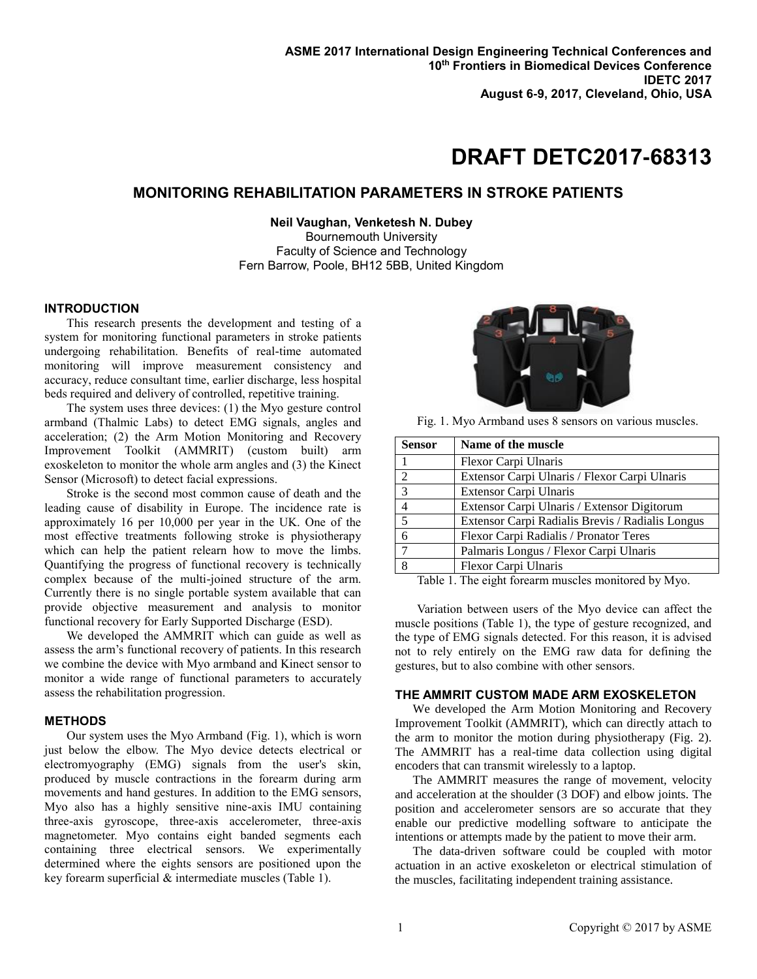# **DRAFT DETC2017-68313**

## **MONITORING REHABILITATION PARAMETERS IN STROKE PATIENTS**

**Neil Vaughan, Venketesh N. Dubey** Bournemouth University Faculty of Science and Technology Fern Barrow, Poole, BH12 5BB, United Kingdom

## **INTRODUCTION**

This research presents the development and testing of a system for monitoring functional parameters in stroke patients undergoing rehabilitation. Benefits of real-time automated monitoring will improve measurement consistency and accuracy, reduce consultant time, earlier discharge, less hospital beds required and delivery of controlled, repetitive training.

The system uses three devices: (1) the Myo gesture control armband (Thalmic Labs) to detect EMG signals, angles and acceleration; (2) the Arm Motion Monitoring and Recovery Improvement Toolkit (AMMRIT) (custom built) arm exoskeleton to monitor the whole arm angles and (3) the Kinect Sensor (Microsoft) to detect facial expressions.

Stroke is the second most common cause of death and the leading cause of disability in Europe. The incidence rate is approximately 16 per 10,000 per year in the UK. One of the most effective treatments following stroke is physiotherapy which can help the patient relearn how to move the limbs. Quantifying the progress of functional recovery is technically complex because of the multi-joined structure of the arm. Currently there is no single portable system available that can provide objective measurement and analysis to monitor functional recovery for Early Supported Discharge (ESD).

We developed the AMMRIT which can guide as well as assess the arm's functional recovery of patients. In this research we combine the device with Myo armband and Kinect sensor to monitor a wide range of functional parameters to accurately assess the rehabilitation progression.

## **METHODS**

Our system uses the Myo Armband (Fig. 1), which is worn just below the elbow. The Myo device detects electrical or electromyography (EMG) signals from the user's skin, produced by muscle contractions in the forearm during arm movements and hand gestures. In addition to the EMG sensors, Myo also has a highly sensitive nine-axis IMU containing three-axis gyroscope, three-axis accelerometer, three-axis magnetometer. Myo contains eight banded segments each containing three electrical sensors. We experimentally determined where the eights sensors are positioned upon the key forearm superficial & intermediate muscles (Table 1).



Fig. 1. Myo Armband uses 8 sensors on various muscles.

| <b>Sensor</b> | Name of the muscle                               |
|---------------|--------------------------------------------------|
|               | Flexor Carpi Ulnaris                             |
| 2             | Extensor Carpi Ulnaris / Flexor Carpi Ulnaris    |
| 3             | Extensor Carpi Ulnaris                           |
|               | Extensor Carpi Ulnaris / Extensor Digitorum      |
| 5             | Extensor Carpi Radialis Brevis / Radialis Longus |
|               | Flexor Carpi Radialis / Pronator Teres           |
|               | Palmaris Longus / Flexor Carpi Ulnaris           |
|               | Flexor Carpi Ulnaris                             |

Table 1. The eight forearm muscles monitored by Myo.

Variation between users of the Myo device can affect the muscle positions (Table 1), the type of gesture recognized, and the type of EMG signals detected. For this reason, it is advised not to rely entirely on the EMG raw data for defining the gestures, but to also combine with other sensors.

### **THE AMMRIT CUSTOM MADE ARM EXOSKELETON**

We developed the Arm Motion Monitoring and Recovery Improvement Toolkit (AMMRIT), which can directly attach to the arm to monitor the motion during physiotherapy (Fig. 2). The AMMRIT has a real-time data collection using digital encoders that can transmit wirelessly to a laptop.

The AMMRIT measures the range of movement, velocity and acceleration at the shoulder (3 DOF) and elbow joints. The position and accelerometer sensors are so accurate that they enable our predictive modelling software to anticipate the intentions or attempts made by the patient to move their arm.

The data-driven software could be coupled with motor actuation in an active exoskeleton or electrical stimulation of the muscles, facilitating independent training assistance.